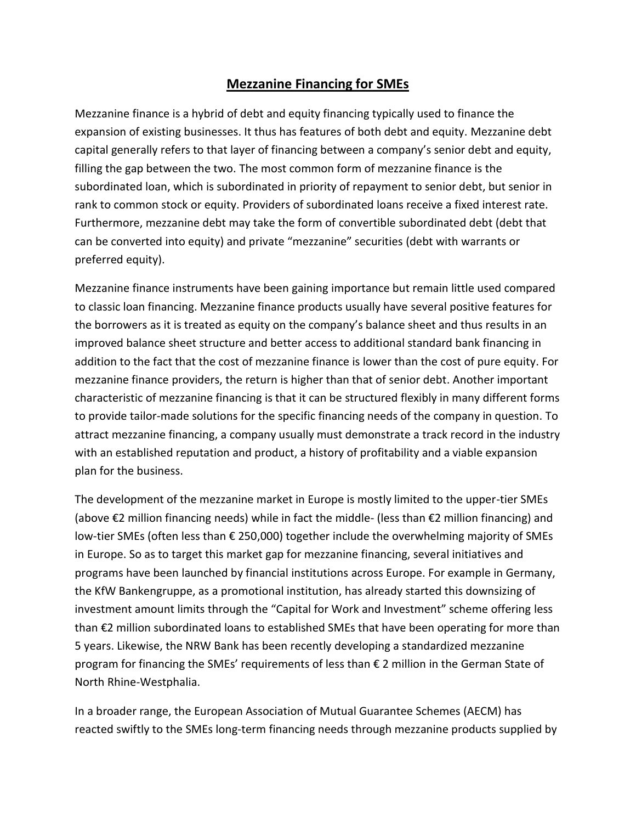## **Mezzanine Financing for SMEs**

Mezzanine finance is a hybrid of debt and equity financing typically used to finance the expansion of existing businesses. It thus has features of both debt and equity. Mezzanine debt capital generally refers to that layer of financing between a company's senior debt and equity, filling the gap between the two. The most common form of mezzanine finance is the subordinated loan, which is subordinated in priority of repayment to senior debt, but senior in rank to common stock or equity. Providers of subordinated loans receive a fixed interest rate. Furthermore, mezzanine debt may take the form of convertible subordinated debt (debt that can be converted into equity) and private "mezzanine" securities (debt with warrants or preferred equity).

Mezzanine finance instruments have been gaining importance but remain little used compared to classic loan financing. Mezzanine finance products usually have several positive features for the borrowers as it is treated as equity on the company's balance sheet and thus results in an improved balance sheet structure and better access to additional standard bank financing in addition to the fact that the cost of mezzanine finance is lower than the cost of pure equity. For mezzanine finance providers, the return is higher than that of senior debt. Another important characteristic of mezzanine financing is that it can be structured flexibly in many different forms to provide tailor-made solutions for the specific financing needs of the company in question. To attract mezzanine financing, a company usually must demonstrate a track record in the industry with an established reputation and product, a history of profitability and a viable expansion plan for the business.

The development of the mezzanine market in Europe is mostly limited to the upper-tier SMEs (above €2 million financing needs) while in fact the middle- (less than €2 million financing) and low-tier SMEs (often less than € 250,000) together include the overwhelming majority of SMEs in Europe. So as to target this market gap for mezzanine financing, several initiatives and programs have been launched by financial institutions across Europe. For example in Germany, the KfW Bankengruppe, as a promotional institution, has already started this downsizing of investment amount limits through the "Capital for Work and Investment" scheme offering less than €2 million subordinated loans to established SMEs that have been operating for more than 5 years. Likewise, the NRW Bank has been recently developing a standardized mezzanine program for financing the SMEs' requirements of less than € 2 million in the German State of North Rhine-Westphalia.

In a broader range, the European Association of Mutual Guarantee Schemes (AECM) has reacted swiftly to the SMEs long-term financing needs through mezzanine products supplied by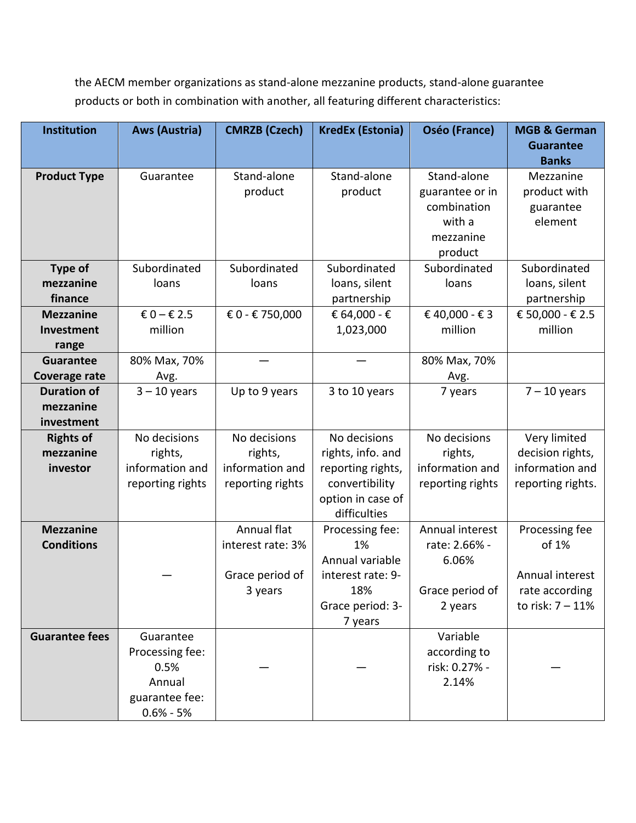the AECM member organizations as stand-alone mezzanine products, stand-alone guarantee products or both in combination with another, all featuring different characteristics:

| Institution           | <b>Aws (Austria)</b>            | <b>CMRZB (Czech)</b> | <b>KredEx (Estonia)</b> | Oséo (France)                 | <b>MGB &amp; German</b> |
|-----------------------|---------------------------------|----------------------|-------------------------|-------------------------------|-------------------------|
|                       |                                 |                      |                         |                               | <b>Guarantee</b>        |
|                       |                                 |                      |                         |                               | <b>Banks</b>            |
| <b>Product Type</b>   | Guarantee                       | Stand-alone          | Stand-alone             | Stand-alone                   | Mezzanine               |
|                       |                                 | product              | product                 | guarantee or in               | product with            |
|                       |                                 |                      |                         | combination                   | guarantee               |
|                       |                                 |                      |                         | with a                        | element                 |
|                       |                                 |                      |                         | mezzanine                     |                         |
|                       |                                 |                      |                         | product                       |                         |
| <b>Type of</b>        | Subordinated                    | Subordinated         | Subordinated            | Subordinated                  | Subordinated            |
| mezzanine             | loans                           | loans                | loans, silent           | loans                         | loans, silent           |
| finance               |                                 |                      | partnership             |                               | partnership             |
| <b>Mezzanine</b>      | € 0 – € 2.5                     | € 0 - € 750,000      | € 64,000 - €            | € 40,000 - € 3                | € 50,000 - € 2.5        |
| Investment            | million                         |                      | 1,023,000               | million                       | million                 |
| range                 |                                 |                      |                         |                               |                         |
| <b>Guarantee</b>      | 80% Max, 70%                    |                      |                         | 80% Max, 70%                  |                         |
| Coverage rate         | Avg.                            |                      |                         | Avg.                          |                         |
| <b>Duration of</b>    | $3 - 10$ years                  | Up to 9 years        | 3 to 10 years           | 7 years                       | $7 - 10$ years          |
| mezzanine             |                                 |                      |                         |                               |                         |
| investment            |                                 |                      |                         |                               |                         |
| <b>Rights of</b>      | No decisions                    | No decisions         | No decisions            | No decisions                  | Very limited            |
| mezzanine             | rights,                         | rights,              | rights, info. and       | rights,                       | decision rights,        |
| investor              | information and                 | information and      | reporting rights,       | information and               | information and         |
|                       | reporting rights                | reporting rights     | convertibility          | reporting rights              | reporting rights.       |
|                       |                                 |                      | option in case of       |                               |                         |
|                       |                                 |                      | difficulties            |                               |                         |
| <b>Mezzanine</b>      |                                 | Annual flat          | Processing fee:         | Annual interest               | Processing fee          |
| <b>Conditions</b>     |                                 | interest rate: 3%    | 1%                      | rate: 2.66% -                 | of 1%                   |
|                       |                                 |                      | Annual variable         | 6.06%                         |                         |
|                       |                                 | Grace period of      | interest rate: 9-       |                               | Annual interest         |
|                       |                                 | 3 years              | 18%                     | Grace period of               | rate according          |
|                       |                                 |                      | Grace period: 3-        | 2 years                       | to risk: 7 - 11%        |
|                       |                                 |                      | 7 years                 |                               |                         |
| <b>Guarantee fees</b> | Guarantee                       |                      |                         | Variable                      |                         |
|                       | Processing fee:<br>0.5%         |                      |                         | according to<br>risk: 0.27% - |                         |
|                       | Annual                          |                      |                         | 2.14%                         |                         |
|                       |                                 |                      |                         |                               |                         |
|                       | guarantee fee:<br>$0.6\% - 5\%$ |                      |                         |                               |                         |
|                       |                                 |                      |                         |                               |                         |